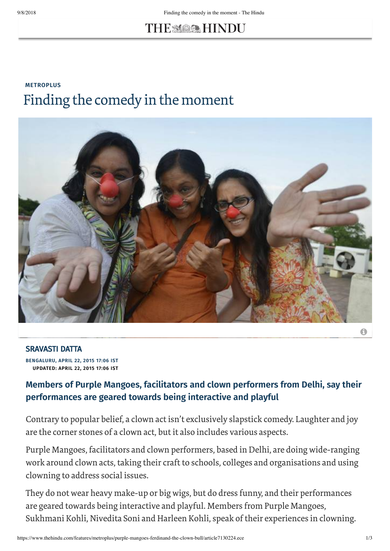# THE MOON HINDU

### **[METROPLUS](https://www.thehindu.com/features/metroplus/)** Finding the comedy in the moment



### [SRAVASTI DATTA](https://www.thehindu.com/profile/author/SRAVASTI-DATTA/)

**BENGALURU, APRIL 22, 2015 17:06 IST UPDATED: APRIL 22, 2015 17:06 IST**

#### **Members of Purple Mangoes, facilitators and clown performers from Delhi, say their performances are geared towards being interactive and playful**

Contrary to popular belief, a clown act isn't exclusively slapstick comedy. Laughter and joy are the corner stones of a clown act, but it also includes various aspects.

Purple Mangoes, facilitators and clown performers, based in Delhi, are doing wide-ranging work around clown acts, taking their craft to schools, colleges and organisations and using clowning to address social issues.

They do not wear heavy make-up or big wigs, but do dress funny, and their performances are geared towards being interactive and playful. Members from Purple Mangoes, Sukhmani Kohli, Nivedita Soni and Harleen Kohli, speak of their experiences in clowning.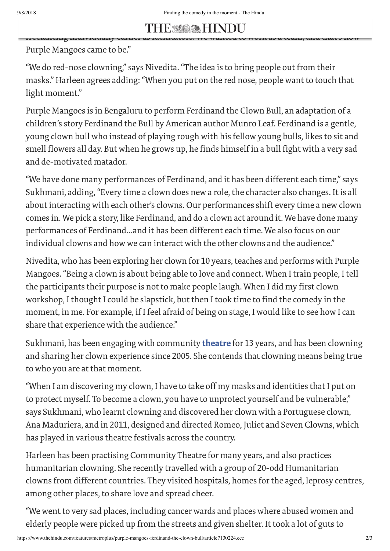#### THE STARTED MANGO freelancing individually earlier as [facilitators.](https://www.thehindu.com/) We wanted to work as a team, and that's how

Purple Mangoes came to be."

"We do red-nose clowning," says Nivedita."The idea is to bring people out from their masks." Harleen agrees adding: "When you put on the red nose, people want to touch that light moment."

Purple Mangoes is in Bengaluru to perform Ferdinand the Clown Bull, an adaptation of a children's story Ferdinand the Bull by American author Munro Leaf. Ferdinand is a gentle, young clown bull who instead of playing rough with his fellow young bulls, likes to sit and smell flowers all day. But when he grows up, he finds himself in a bull fight with a very sad and de-motivated matador.

"We have done many performances of Ferdinand, and it has been different each time," says Sukhmani, adding,"Every time a clown does new a role, the character also changes. It is all about interacting with each other's clowns. Our performances shift every time a new clown comes in. We pick a story, like Ferdinand, and do a clown act around it. We have done many performances of Ferdinand…and it has been different each time. We also focus on our individual clowns and how we can interact with the other clowns and the audience."

Nivedita, who has been exploring her clown for 10 years, teaches and performs with Purple Mangoes."Being a clown is about being able to love and connect. When I train people, I tell the participants their purpose is not to make people laugh. When I did my first clown workshop, I thought I could be slapstick, but then I took time to find the comedy in the moment, in me. For example, if I feel afraid of being on stage, I would like to see how I can share that experience with the audience."

Sukhmani, has been engaging with community **[theatre](https://www.thehindu.com/tag/598-428/theatre/?utm=bodytag)** for 13 years, and has been clowning and sharing her clown experience since 2005. She contends that clowning means being true to who you are at that moment.

"When I am discovering my clown, I have to take off my masks and identities that I put on to protect myself. To become a clown, you have to unprotect yourself and be vulnerable," says Sukhmani, who learnt clowning and discovered her clown with a Portuguese clown, Ana Maduriera, and in 2011, designed and directed Romeo, Juliet and Seven Clowns, which has played in various theatre festivals across the country.

Harleen has been practising Community Theatre for many years, and also practices humanitarian clowning. She recently travelled with a group of 20-odd Humanitarian clowns from different countries. They visited hospitals, homes forthe aged, leprosy centres, among other places, to share love and spread cheer.

"We went to very sad places, including cancer wards and places where abused women and elderly people were picked up from the streets and given shelter. It took a lot of guts to